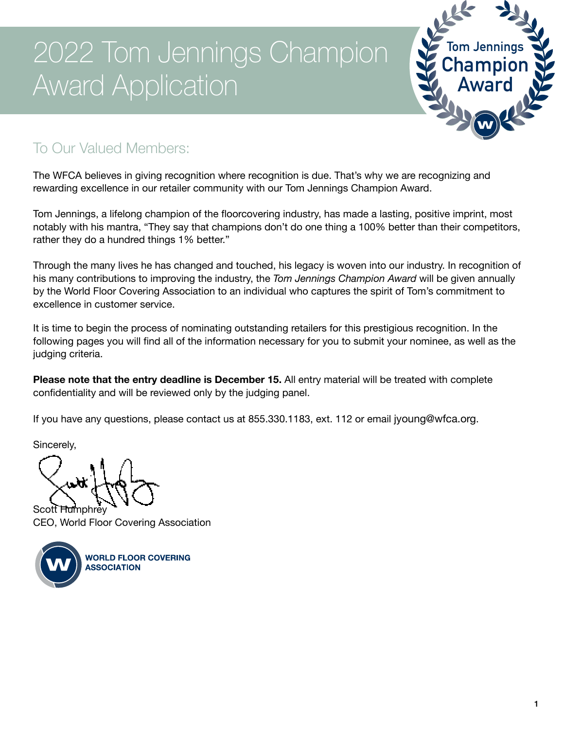

### To Our Valued Members:

The WFCA believes in giving recognition where recognition is due. That's why we are recognizing and rewarding excellence in our retailer community with our Tom Jennings Champion Award.

Tom Jennings, a lifelong champion of the floorcovering industry, has made a lasting, positive imprint, most notably with his mantra, "They say that champions don't do one thing a 100% better than their competitors, rather they do a hundred things 1% better."

Through the many lives he has changed and touched, his legacy is woven into our industry. In recognition of his many contributions to improving the industry, the *Tom Jennings Champion Award* will be given annually by the World Floor Covering Association to an individual who captures the spirit of Tom's commitment to excellence in customer service.

It is time to begin the process of nominating outstanding retailers for this prestigious recognition. In the following pages you will find all of the information necessary for you to submit your nominee, as well as the judging criteria.

**Please note that the entry deadline is December 15.** All entry material will be treated with complete confidentiality and will be reviewed only by the judging panel.

If you have any questions, please contact us at 855.330.1183, ext. 112 or email jyoung@wfca.org.

Sincerely,

Scott Humphrey CEO, World Floor Covering Association



**WORLD FLOOR COVERING ASSOCIATION**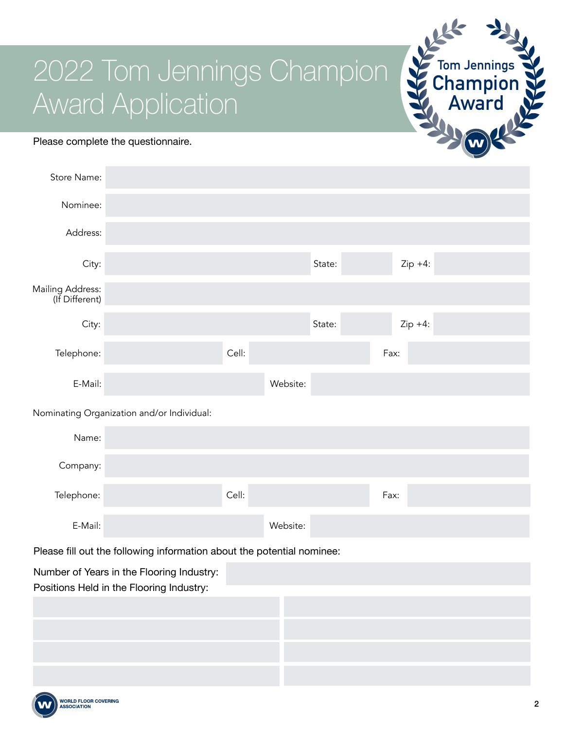#### Please complete the questionnaire.

| Store Name:                                                            |                                            |       |          |        |      |           |  |  |
|------------------------------------------------------------------------|--------------------------------------------|-------|----------|--------|------|-----------|--|--|
| Nominee:                                                               |                                            |       |          |        |      |           |  |  |
| Address:                                                               |                                            |       |          |        |      |           |  |  |
| City:                                                                  |                                            |       |          | State: |      | $Zip +4:$ |  |  |
| Mailing Address:<br>(If Different)                                     |                                            |       |          |        |      |           |  |  |
| City:                                                                  |                                            |       |          | State: |      | $Zip +4:$ |  |  |
| Telephone:                                                             |                                            | Cell: |          |        | Fax: |           |  |  |
| E-Mail:                                                                |                                            |       | Website: |        |      |           |  |  |
|                                                                        | Nominating Organization and/or Individual: |       |          |        |      |           |  |  |
| Name:                                                                  |                                            |       |          |        |      |           |  |  |
| Company:                                                               |                                            |       |          |        |      |           |  |  |
| Telephone:                                                             |                                            | Cell: |          |        | Fax: |           |  |  |
| E-Mail:                                                                |                                            |       | Website: |        |      |           |  |  |
| Dlogge fill out the following information about the petertial nomines: |                                            |       |          |        |      |           |  |  |

lease fill out the following information about the potential nominee:

Number of Years in the Flooring Industry:

Positions Held in the Flooring Industry:



**Tom Jennings Champion**

**Award**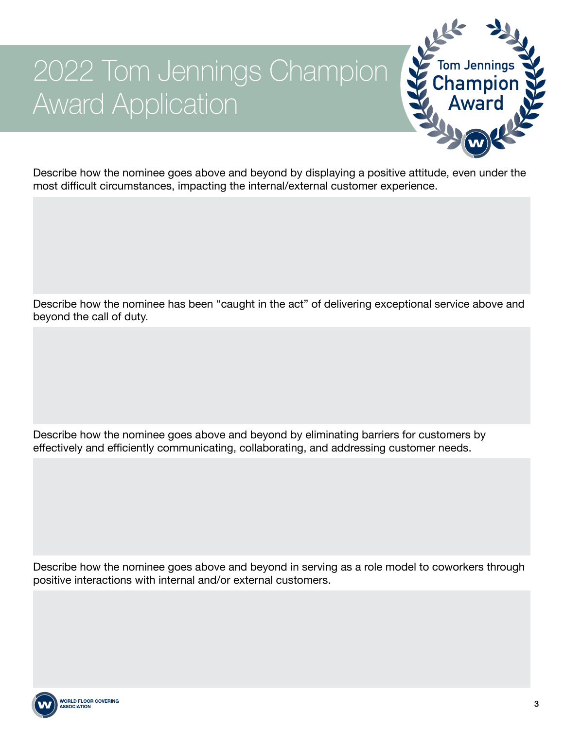

Describe how the nominee goes above and beyond by displaying a positive attitude, even under the most difficult circumstances, impacting the internal/external customer experience.

Describe how the nominee has been "caught in the act" of delivering exceptional service above and beyond the call of duty.

Describe how the nominee goes above and beyond by eliminating barriers for customers by effectively and efficiently communicating, collaborating, and addressing customer needs.

Describe how the nominee goes above and beyond in serving as a role model to coworkers through positive interactions with internal and/or external customers.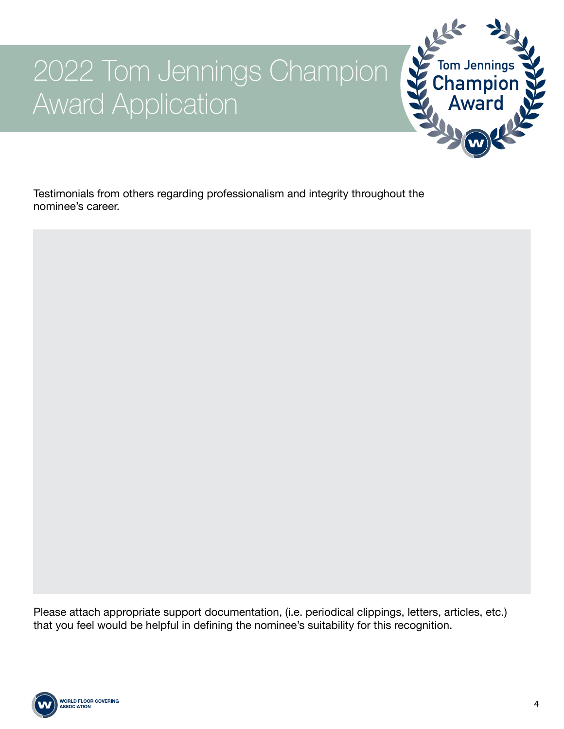

Testimonials from others regarding professionalism and integrity throughout the nominee's career.



Please attach appropriate support documentation, (i.e. periodical clippings, letters, articles, etc.) that you feel would be helpful in defining the nominee's suitability for this recognition.